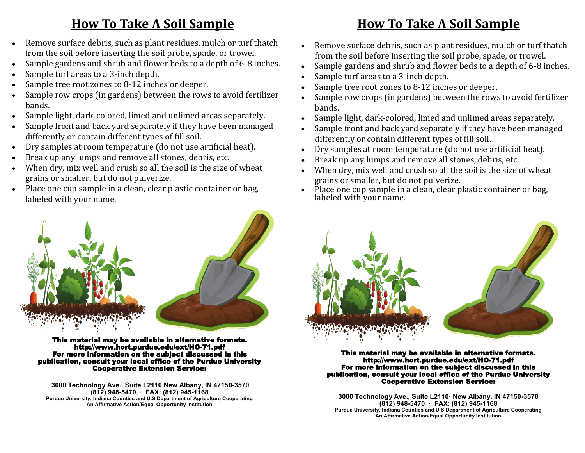### **How To Take A Soil Sample**

- Remove surface debris, such as plant residues, mulch or turf thatch from the soil before inserting the soil probe, spade, or trowel.
- Sample gardens and shrub and flower beds to a depth of 6-8 inches.
- Sample turf areas to a 3-inch depth.
- Sample tree root zones to 8-12 inches or deeper.
- Sample row crops (in gardens) between the rows to avoid fertilizer bands.
- Sample light, dark-colored, limed and unlimed areas separately.
- Sample front and back yard separately if they have been managed differently or contain different types of fill soil.
- Dry samples at room temperature (do not use artificial heat).
- Break up any lumps and remove all stones, debris, etc.
- When dry, mix well and crush so all the soil is the size of wheat grains or smaller, but do not pulverize.
- Place one cup sample in a clean, clear plastic container or bag, labeled with your name.



This material may be available in alternative formats. http://www.hort.purdue.edu/ext/HO-71.pdf For more information on the subject discussed in this publication, consult your local office of the Purdue University Cooperative Extension Service:

**3000 Technology Ave., Suite L2110 New Albany, IN 47150-3570 (812) 948-5470 · FAX: (812) 945-1168 Purdue University, Indiana Counties and U.S Department of Agriculture Cooperating An Affirmative Action/Equal Opportunity Institution**

### **How To Take A Soil Sample**

- Remove surface debris, such as plant residues, mulch or turf thatch from the soil before inserting the soil probe, spade, or trowel.
- Sample gardens and shrub and flower beds to a depth of 6-8 inches.
- Sample turf areas to a 3-inch depth.
- Sample tree root zones to 8-12 inches or deeper.
- Sample row crops (in gardens) between the rows to avoid fertilizer bands.
- Sample light, dark-colored, limed and unlimed areas separately.
- Sample front and back yard separately if they have been managed differently or contain different types of fill soil.
- Dry samples at room temperature (do not use artificial heat).
- Break up any lumps and remove all stones, debris, etc.
- When dry, mix well and crush so all the soil is the size of wheat grains or smaller, but do not pulverize.
- $\bullet$  Place one cup sample in a clean, clear plastic container or bag, labeled with your name.



This material may be available in alternative formats. http://www.hort.purdue.edu/ext/HO-71.pdf For more information on the subject discussed in this publication, consult your local office of the Purdue University Cooperative Extension Service:

**3000 Technology Ave., Suite L2110· New Albany, IN 47150-3570 (812) 948-5470 · FAX: (812) 945-1168 Purdue University, Indiana Counties and U.S Department of Agriculture Cooperating An Affirmative Action/Equal Opportunity Institution**